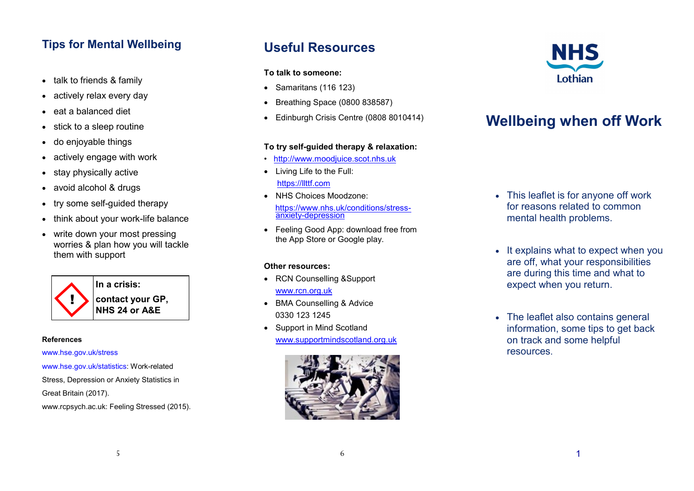### **Tips for Mental Wellbeing**

- talk to friends & family
- actively relax every day
- eat a balanced diet
- stick to a sleep routine
- do enjoyable things
- actively engage with work
- stay physically active
- avoid alcohol & drugs
- try some self-quided therapy
- think about your work-life balance
- write down your most pressing worries & plan how you will tackle them with support



#### **References**

www.hse.gov.uk/stress

www.hse.gov.uk/statistics: Work-related Stress, Depression or Anxiety Statistics in Great Britain (2017). www.rcpsych.ac.uk: Feeling Stressed (2015).

## **Useful Resources**

#### **To talk to someone:**

- $\bullet$  Samaritans (116 123)
- Breathing Space (0800 838587)
- Edinburgh Crisis Centre (0808 8010414)

#### **To try self-guided therapy & relaxation:**

- http://www.moodiuice.scot.nhs.uk
- Living Life to the Full: https://llttf.com
- NHS Choices Moodzone: https://www.nhs.uk/conditions/stressanxiety-depression
- Feeling Good App: download free from the App Store or Google play.

#### **Other resources:**

- RCN Counselling &Support www.rcn.org.uk
- BMA Counselling & Advice 0330 123 1245
- Support in Mind Scotland www.supportmindscotland.org.uk





# **Wellbeing when off Work**

- This leaflet is for anyone off work for reasons related to common mental health problems.
- It explains what to expect when you are off, what your responsibilities are during this time and what to expect when you return.
- The leaflet also contains general information, some tips to get back on track and some helpful **resources**